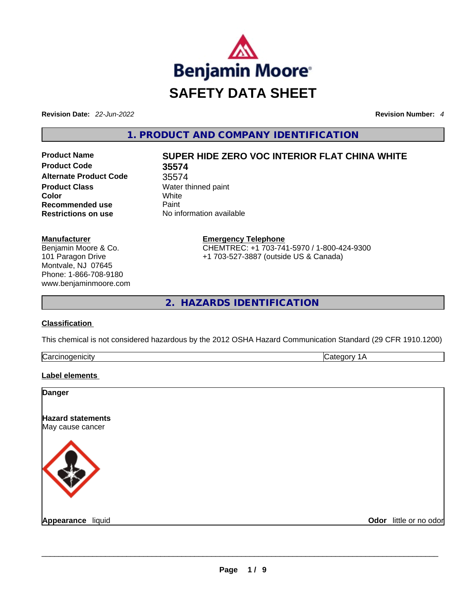

**Revision Date:** *22-Jun-2022* **Revision Number:** *4*

**1. PRODUCT AND COMPANY IDENTIFICATION** 

**Product Code 35574 Alternate Product Code** 35574 **Product Class Water thinned paint Color** White **Recommended use Paint Restrictions on use** No information available

**Manufacturer** Benjamin Moore & Co. 101 Paragon Drive Montvale, NJ 07645 Phone: 1-866-708-9180 www.benjaminmoore.com

# **Product Name SUPER HIDE ZERO VOC INTERIOR FLAT CHINA WHITE**

**Emergency Telephone** CHEMTREC: +1 703-741-5970 / 1-800-424-9300 +1 703-527-3887 (outside US & Canada)

**2. HAZARDS IDENTIFICATION** 

# **Classification**

This chemical is not considered hazardous by the 2012 OSHA Hazard Communication Standard (29 CFR 1910.1200)

| ∽<br>. |  |
|--------|--|
|        |  |

#### **Label elements**

| <b>Danger</b>                                |                        |
|----------------------------------------------|------------------------|
| <b>Hazard statements</b><br>May cause cancer |                        |
|                                              |                        |
| Appearance liquid                            | Odor little or no odor |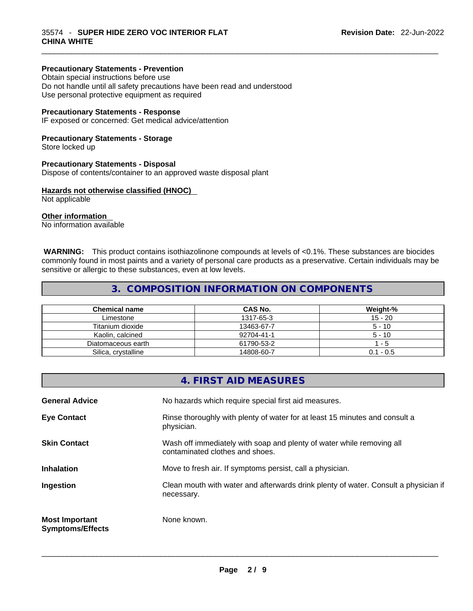#### **Precautionary Statements - Prevention**

Obtain special instructions before use Do not handle until all safety precautions have been read and understood Use personal protective equipment as required

#### **Precautionary Statements - Response**

IF exposed or concerned: Get medical advice/attention

#### **Precautionary Statements - Storage**

Store locked up

#### **Precautionary Statements - Disposal**

Dispose of contents/container to an approved waste disposal plant

#### **Hazards not otherwise classified (HNOC)**

Not applicable

#### **Other information**

No information available

 **WARNING:** This product contains isothiazolinone compounds at levels of <0.1%. These substances are biocides commonly found in most paints and a variety of personal care products as a preservative. Certain individuals may be sensitive or allergic to these substances, even at low levels.

 $\_$  ,  $\_$  ,  $\_$  ,  $\_$  ,  $\_$  ,  $\_$  ,  $\_$  ,  $\_$  ,  $\_$  ,  $\_$  ,  $\_$  ,  $\_$  ,  $\_$  ,  $\_$  ,  $\_$  ,  $\_$  ,  $\_$  ,  $\_$  ,  $\_$  ,  $\_$  ,  $\_$  ,  $\_$  ,  $\_$  ,  $\_$  ,  $\_$  ,  $\_$  ,  $\_$  ,  $\_$  ,  $\_$  ,  $\_$  ,  $\_$  ,  $\_$  ,  $\_$  ,  $\_$  ,  $\_$  ,  $\_$  ,  $\_$  ,

# **3. COMPOSITION INFORMATION ON COMPONENTS**

| <b>Chemical name</b> | CAS No.    | Weight-%    |
|----------------------|------------|-------------|
| Limestone            | 1317-65-3  | $15 - 20$   |
| Titanium dioxide     | 13463-67-7 | $5 - 10$    |
| Kaolin, calcined     | 92704-41-1 | $5 - 10$    |
| Diatomaceous earth   | 61790-53-2 | - 5         |
| Silica, crystalline  | 14808-60-7 | $0.1 - 0.5$ |

|                                                  | 4. FIRST AID MEASURES                                                                                    |
|--------------------------------------------------|----------------------------------------------------------------------------------------------------------|
| <b>General Advice</b>                            | No hazards which require special first aid measures.                                                     |
| <b>Eye Contact</b>                               | Rinse thoroughly with plenty of water for at least 15 minutes and consult a<br>physician.                |
| <b>Skin Contact</b>                              | Wash off immediately with soap and plenty of water while removing all<br>contaminated clothes and shoes. |
| <b>Inhalation</b>                                | Move to fresh air. If symptoms persist, call a physician.                                                |
| Ingestion                                        | Clean mouth with water and afterwards drink plenty of water. Consult a physician if<br>necessary.        |
| <b>Most Important</b><br><b>Symptoms/Effects</b> | None known.                                                                                              |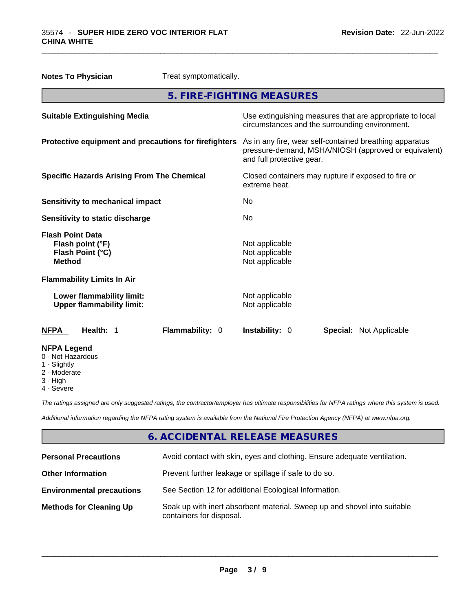|                                                                                  | <b>Notes To Physician</b>         | Treat symptomatically.                                                                                                                       |                           |  |                                |
|----------------------------------------------------------------------------------|-----------------------------------|----------------------------------------------------------------------------------------------------------------------------------------------|---------------------------|--|--------------------------------|
|                                                                                  |                                   |                                                                                                                                              | 5. FIRE-FIGHTING MEASURES |  |                                |
| <b>Suitable Extinguishing Media</b>                                              |                                   | Use extinguishing measures that are appropriate to local<br>circumstances and the surrounding environment.                                   |                           |  |                                |
| Protective equipment and precautions for firefighters                            |                                   | As in any fire, wear self-contained breathing apparatus<br>pressure-demand, MSHA/NIOSH (approved or equivalent)<br>and full protective gear. |                           |  |                                |
| <b>Specific Hazards Arising From The Chemical</b>                                |                                   | Closed containers may rupture if exposed to fire or<br>extreme heat.                                                                         |                           |  |                                |
| <b>Sensitivity to mechanical impact</b>                                          |                                   | No                                                                                                                                           |                           |  |                                |
| <b>Sensitivity to static discharge</b>                                           |                                   | No                                                                                                                                           |                           |  |                                |
| <b>Flash Point Data</b><br>Flash point (°F)<br>Flash Point (°C)<br><b>Method</b> |                                   | Not applicable<br>Not applicable<br>Not applicable                                                                                           |                           |  |                                |
|                                                                                  | <b>Flammability Limits In Air</b> |                                                                                                                                              |                           |  |                                |
| Lower flammability limit:<br><b>Upper flammability limit:</b>                    |                                   | Not applicable<br>Not applicable                                                                                                             |                           |  |                                |
| <b>NFPA</b>                                                                      | Health: 1                         | <b>Flammability: 0</b>                                                                                                                       | Instability: 0            |  | <b>Special:</b> Not Applicable |
| <b>NFPA Legend</b><br>0 - Not Hazardous<br>1 - Slightly                          |                                   |                                                                                                                                              |                           |  |                                |

 $\_$  ,  $\_$  ,  $\_$  ,  $\_$  ,  $\_$  ,  $\_$  ,  $\_$  ,  $\_$  ,  $\_$  ,  $\_$  ,  $\_$  ,  $\_$  ,  $\_$  ,  $\_$  ,  $\_$  ,  $\_$  ,  $\_$  ,  $\_$  ,  $\_$  ,  $\_$  ,  $\_$  ,  $\_$  ,  $\_$  ,  $\_$  ,  $\_$  ,  $\_$  ,  $\_$  ,  $\_$  ,  $\_$  ,  $\_$  ,  $\_$  ,  $\_$  ,  $\_$  ,  $\_$  ,  $\_$  ,  $\_$  ,  $\_$  ,

- 2 Moderate
- 
- 3 High
- 4 Severe

*The ratings assigned are only suggested ratings, the contractor/employer has ultimate responsibilities for NFPA ratings where this system is used.* 

*Additional information regarding the NFPA rating system is available from the National Fire Protection Agency (NFPA) at www.nfpa.org.* 

# **6. ACCIDENTAL RELEASE MEASURES**

| <b>Personal Precautions</b>      | Avoid contact with skin, eyes and clothing. Ensure adequate ventilation.                             |
|----------------------------------|------------------------------------------------------------------------------------------------------|
| <b>Other Information</b>         | Prevent further leakage or spillage if safe to do so.                                                |
| <b>Environmental precautions</b> | See Section 12 for additional Ecological Information.                                                |
| <b>Methods for Cleaning Up</b>   | Soak up with inert absorbent material. Sweep up and shovel into suitable<br>containers for disposal. |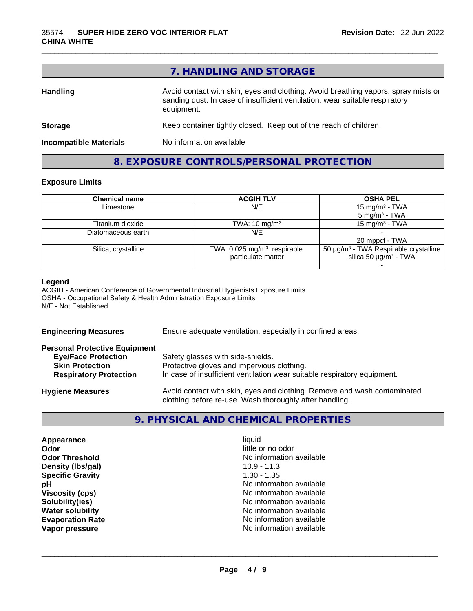|                               | 7. HANDLING AND STORAGE                                                                                                                                                          |
|-------------------------------|----------------------------------------------------------------------------------------------------------------------------------------------------------------------------------|
| <b>Handling</b>               | Avoid contact with skin, eyes and clothing. Avoid breathing vapors, spray mists or<br>sanding dust. In case of insufficient ventilation, wear suitable respiratory<br>equipment. |
| <b>Storage</b>                | Keep container tightly closed. Keep out of the reach of children.                                                                                                                |
| <b>Incompatible Materials</b> | No information available                                                                                                                                                         |

**8. EXPOSURE CONTROLS/PERSONAL PROTECTION** 

 $\_$  ,  $\_$  ,  $\_$  ,  $\_$  ,  $\_$  ,  $\_$  ,  $\_$  ,  $\_$  ,  $\_$  ,  $\_$  ,  $\_$  ,  $\_$  ,  $\_$  ,  $\_$  ,  $\_$  ,  $\_$  ,  $\_$  ,  $\_$  ,  $\_$  ,  $\_$  ,  $\_$  ,  $\_$  ,  $\_$  ,  $\_$  ,  $\_$  ,  $\_$  ,  $\_$  ,  $\_$  ,  $\_$  ,  $\_$  ,  $\_$  ,  $\_$  ,  $\_$  ,  $\_$  ,  $\_$  ,  $\_$  ,  $\_$  ,

# **Exposure Limits**

| <b>Chemical name</b> | <b>ACGIH TLV</b>                          | <b>OSHA PEL</b>                                   |
|----------------------|-------------------------------------------|---------------------------------------------------|
| Limestone            | N/E                                       | 15 mg/m <sup>3</sup> - TWA                        |
|                      |                                           | $5 \text{ mg/m}^3$ - TWA                          |
| Titanium dioxide     | TWA: $10 \text{ mg/m}^3$                  | $15 \text{ ma/m}^3$ - TWA                         |
| Diatomaceous earth   | N/E                                       |                                                   |
|                      |                                           | 20 mppcf - TWA                                    |
| Silica, crystalline  | TWA: $0.025$ mg/m <sup>3</sup> respirable | 50 μg/m <sup>3</sup> - TWA Respirable crystalline |
|                      | particulate matter                        | silica 50 $\mu$ g/m <sup>3</sup> - TWA            |
|                      |                                           |                                                   |

#### **Legend**

ACGIH - American Conference of Governmental Industrial Hygienists Exposure Limits OSHA - Occupational Safety & Health Administration Exposure Limits N/E - Not Established

| Ensure adequate ventilation, especially in confined areas.                                                                          |  |  |
|-------------------------------------------------------------------------------------------------------------------------------------|--|--|
|                                                                                                                                     |  |  |
| Safety glasses with side-shields.                                                                                                   |  |  |
| Protective gloves and impervious clothing.                                                                                          |  |  |
| In case of insufficient ventilation wear suitable respiratory equipment.                                                            |  |  |
| Avoid contact with skin, eyes and clothing. Remove and wash contaminated<br>clothing before re-use. Wash thoroughly after handling. |  |  |
|                                                                                                                                     |  |  |

# **9. PHYSICAL AND CHEMICAL PROPERTIES**

| Appearance              | liquid                   |  |
|-------------------------|--------------------------|--|
| Odor                    | little or no odor        |  |
| <b>Odor Threshold</b>   | No information available |  |
| Density (Ibs/gal)       | $10.9 - 11.3$            |  |
| <b>Specific Gravity</b> | $1.30 - 1.35$            |  |
| рH                      | No information available |  |
| <b>Viscosity (cps)</b>  | No information available |  |
| Solubility(ies)         | No information available |  |
| <b>Water solubility</b> | No information available |  |
| <b>Evaporation Rate</b> | No information available |  |
| Vapor pressure          | No information available |  |
|                         |                          |  |
|                         |                          |  |
|                         |                          |  |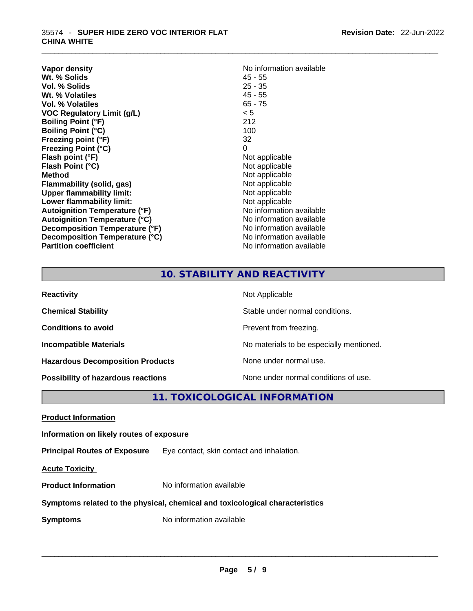| Vapor density<br>Wt. % Solids<br>Vol. % Solids | No information available<br>$45 - 55$<br>$25 - 35$ |
|------------------------------------------------|----------------------------------------------------|
| Wt. % Volatiles                                | $45 - 55$                                          |
| Vol. % Volatiles                               | $65 - 75$                                          |
| <b>VOC Regulatory Limit (g/L)</b>              | < 5                                                |
| <b>Boiling Point (°F)</b>                      | 212                                                |
| <b>Boiling Point (°C)</b>                      | 100                                                |
| Freezing point (°F)                            | 32                                                 |
| <b>Freezing Point (°C)</b>                     | 0                                                  |
| Flash point (°F)                               | Not applicable                                     |
| Flash Point (°C)                               | Not applicable                                     |
| <b>Method</b>                                  | Not applicable                                     |
| Flammability (solid, gas)                      | Not applicable                                     |
| <b>Upper flammability limit:</b>               | Not applicable                                     |
| Lower flammability limit:                      | Not applicable                                     |
| <b>Autoignition Temperature (°F)</b>           | No information available                           |
| <b>Autoignition Temperature (°C)</b>           | No information available                           |
| Decomposition Temperature (°F)                 | No information available                           |
| Decomposition Temperature (°C)                 | No information available                           |
| <b>Partition coefficient</b>                   | No information available                           |

 $\_$  ,  $\_$  ,  $\_$  ,  $\_$  ,  $\_$  ,  $\_$  ,  $\_$  ,  $\_$  ,  $\_$  ,  $\_$  ,  $\_$  ,  $\_$  ,  $\_$  ,  $\_$  ,  $\_$  ,  $\_$  ,  $\_$  ,  $\_$  ,  $\_$  ,  $\_$  ,  $\_$  ,  $\_$  ,  $\_$  ,  $\_$  ,  $\_$  ,  $\_$  ,  $\_$  ,  $\_$  ,  $\_$  ,  $\_$  ,  $\_$  ,  $\_$  ,  $\_$  ,  $\_$  ,  $\_$  ,  $\_$  ,  $\_$  ,

# **10. STABILITY AND REACTIVITY**

| <b>Reactivity</b>                       | Not Applicable                           |
|-----------------------------------------|------------------------------------------|
| <b>Chemical Stability</b>               | Stable under normal conditions.          |
| <b>Conditions to avoid</b>              | Prevent from freezing.                   |
| <b>Incompatible Materials</b>           | No materials to be especially mentioned. |
| <b>Hazardous Decomposition Products</b> | None under normal use.                   |
| Possibility of hazardous reactions      | None under normal conditions of use.     |

**11. TOXICOLOGICAL INFORMATION** 

#### **Information on likely routes of exposure**

**Principal Routes of Exposure** Eye contact, skin contact and inhalation.

**Acute Toxicity** 

**Product Information** No information available

#### **Symptoms related to the physical,chemical and toxicological characteristics**

**Symptoms** No information available **Note that the set of the set of the set of the set of the set of the set of the set of the set of the set of the set of the set of the set of the set of the set of the set of the set of**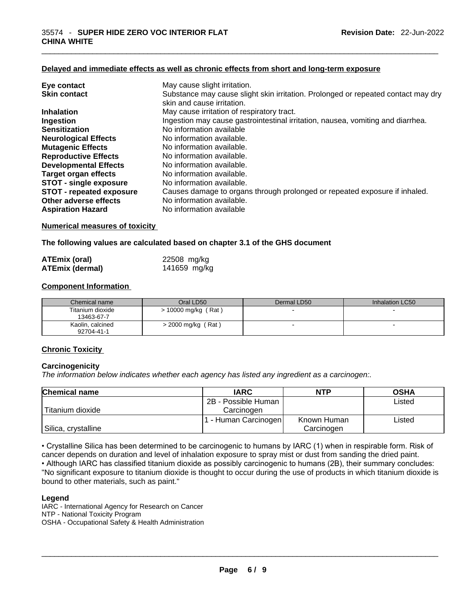#### **Delayed and immediate effects as well as chronic effects from short and long-term exposure**

| Eye contact                     | May cause slight irritation.                                                      |
|---------------------------------|-----------------------------------------------------------------------------------|
| <b>Skin contact</b>             | Substance may cause slight skin irritation. Prolonged or repeated contact may dry |
|                                 | skin and cause irritation.                                                        |
| <b>Inhalation</b>               | May cause irritation of respiratory tract.                                        |
| Ingestion                       | Ingestion may cause gastrointestinal irritation, nausea, vomiting and diarrhea.   |
| <b>Sensitization</b>            | No information available                                                          |
| <b>Neurological Effects</b>     | No information available.                                                         |
| <b>Mutagenic Effects</b>        | No information available.                                                         |
| <b>Reproductive Effects</b>     | No information available.                                                         |
| <b>Developmental Effects</b>    | No information available.                                                         |
| Target organ effects            | No information available.                                                         |
| <b>STOT - single exposure</b>   | No information available.                                                         |
| <b>STOT - repeated exposure</b> | Causes damage to organs through prolonged or repeated exposure if inhaled.        |
| Other adverse effects           | No information available.                                                         |
| <b>Aspiration Hazard</b>        | No information available                                                          |

#### **Numerical measures of toxicity**

**The following values are calculated based on chapter 3.1 of the GHS document**

| <b>ATEmix (oral)</b>   | 22508 mg/kg  |
|------------------------|--------------|
| <b>ATEmix (dermal)</b> | 141659 mg/kg |

#### **Component Information**

| Chemical name                  | Oral LD50             | Dermal LD50              | Inhalation LC50          |
|--------------------------------|-----------------------|--------------------------|--------------------------|
| Titanium dioxide<br>13463-67-7 | $> 10000$ mg/kg (Rat) | $\overline{\phantom{0}}$ |                          |
| Kaolin, calcined<br>92704-41-1 | $>$ 2000 mg/kg (Rat)  | $\overline{\phantom{0}}$ | $\overline{\phantom{0}}$ |

#### **Chronic Toxicity**

#### **Carcinogenicity**

*The information below indicates whether each agency has listed any ingredient as a carcinogen:.* 

| <b>Chemical name</b> | <b>IARC</b>          | <b>NTP</b>  | <b>OSHA</b> |
|----------------------|----------------------|-------------|-------------|
|                      | 2B - Possible Human  |             | Listed      |
| Titanium dioxide     | Carcinogen           |             |             |
|                      | 1 - Human Carcinogen | Known Human | Listed      |
| Silica, crystalline  |                      | Carcinogen  |             |

• Crystalline Silica has been determined to be carcinogenic to humans by IARC (1) when in respirable form. Risk of cancer depends on duration and level of inhalation exposure to spray mist or dust from sanding the dried paint.

• Although IARC has classified titanium dioxide as possibly carcinogenic to humans (2B), their summary concludes: "No significant exposure to titanium dioxide is thought to occur during the use of products in which titanium dioxide is bound to other materials, such as paint."

#### **Legend**

IARC - International Agency for Research on Cancer NTP - National Toxicity Program OSHA - Occupational Safety & Health Administration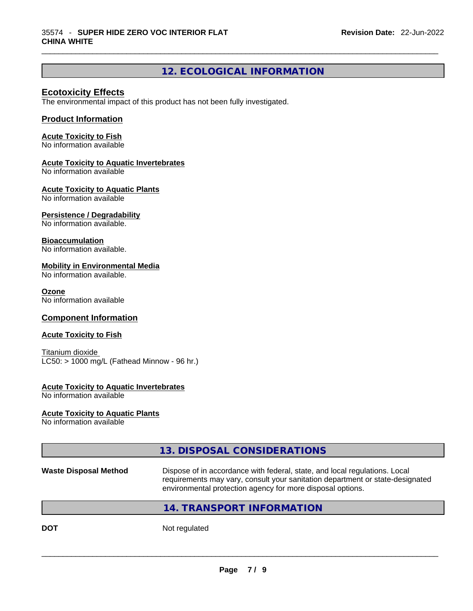# **12. ECOLOGICAL INFORMATION**

 $\_$  ,  $\_$  ,  $\_$  ,  $\_$  ,  $\_$  ,  $\_$  ,  $\_$  ,  $\_$  ,  $\_$  ,  $\_$  ,  $\_$  ,  $\_$  ,  $\_$  ,  $\_$  ,  $\_$  ,  $\_$  ,  $\_$  ,  $\_$  ,  $\_$  ,  $\_$  ,  $\_$  ,  $\_$  ,  $\_$  ,  $\_$  ,  $\_$  ,  $\_$  ,  $\_$  ,  $\_$  ,  $\_$  ,  $\_$  ,  $\_$  ,  $\_$  ,  $\_$  ,  $\_$  ,  $\_$  ,  $\_$  ,  $\_$  ,

#### **Ecotoxicity Effects**

The environmental impact of this product has not been fully investigated.

### **Product Information**

#### **Acute Toxicity to Fish**

No information available

#### **Acute Toxicity to Aquatic Invertebrates**

No information available

#### **Acute Toxicity to Aquatic Plants**

No information available

#### **Persistence / Degradability**

No information available.

#### **Bioaccumulation**

No information available.

#### **Mobility in Environmental Media**

No information available.

#### **Ozone**

No information available

### **Component Information**

#### **Acute Toxicity to Fish**

Titanium dioxide  $LC50:$  > 1000 mg/L (Fathead Minnow - 96 hr.)

#### **Acute Toxicity to Aquatic Invertebrates**

No information available

#### **Acute Toxicity to Aquatic Plants**

No information available

# **13. DISPOSAL CONSIDERATIONS**

#### **Waste Disposal Method** Dispose of in accordance with federal, state, and local regulations. Local requirements may vary, consult your sanitation department or state-designated environmental protection agency for more disposal options.

# **14. TRANSPORT INFORMATION**

**DOT** Not regulated  $\blacksquare$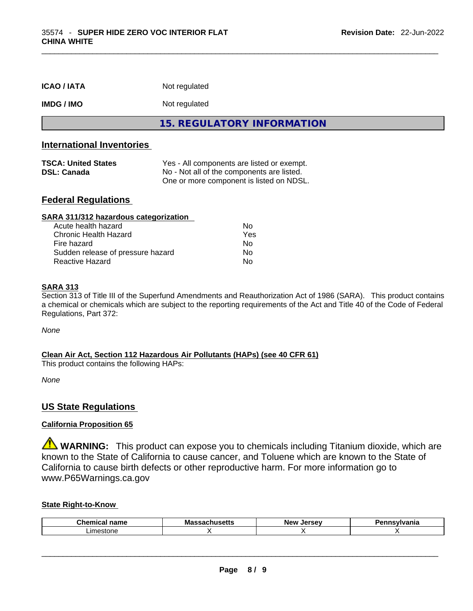| <b>ICAO/IATA</b>                                                                     | Not regulated                                                                                                                        |  |
|--------------------------------------------------------------------------------------|--------------------------------------------------------------------------------------------------------------------------------------|--|
| <b>IMDG/IMO</b>                                                                      | Not regulated                                                                                                                        |  |
|                                                                                      | <b>15. REGULATORY INFORMATION</b>                                                                                                    |  |
| <b>International Inventories</b><br><b>TSCA: United States</b><br><b>DSL: Canada</b> | Yes - All components are listed or exempt.<br>No - Not all of the components are listed.<br>One or more component is listed on NDSL. |  |
| <b>Federal Regulations</b><br>SARA 311/312 hazardous categorization                  |                                                                                                                                      |  |

 $\_$  ,  $\_$  ,  $\_$  ,  $\_$  ,  $\_$  ,  $\_$  ,  $\_$  ,  $\_$  ,  $\_$  ,  $\_$  ,  $\_$  ,  $\_$  ,  $\_$  ,  $\_$  ,  $\_$  ,  $\_$  ,  $\_$  ,  $\_$  ,  $\_$  ,  $\_$  ,  $\_$  ,  $\_$  ,  $\_$  ,  $\_$  ,  $\_$  ,  $\_$  ,  $\_$  ,  $\_$  ,  $\_$  ,  $\_$  ,  $\_$  ,  $\_$  ,  $\_$  ,  $\_$  ,  $\_$  ,  $\_$  ,  $\_$  ,

| No. |
|-----|
| Yes |
| Nο  |
| Nο  |
| No  |
|     |

#### **SARA 313**

Section 313 of Title III of the Superfund Amendments and Reauthorization Act of 1986 (SARA). This product contains a chemical or chemicals which are subject to the reporting requirements of the Act and Title 40 of the Code of Federal Regulations, Part 372:

*None*

#### **Clean Air Act,Section 112 Hazardous Air Pollutants (HAPs) (see 40 CFR 61)**

This product contains the following HAPs:

*None*

# **US State Regulations**

### **California Proposition 65**

**WARNING:** This product can expose you to chemicals including Titanium dioxide, which are known to the State of California to cause cancer, and Toluene which are known to the State of California to cause birth defects or other reproductive harm. For more information go to www.P65Warnings.ca.gov

#### **State Right-to-Know**

| Chemic<br>$ -$<br>'iallit<br>. | <b>Massachusetts</b><br>mon | New<br>Jersev | aauluania<br>'dilla |
|--------------------------------|-----------------------------|---------------|---------------------|
| .imestone                      |                             |               |                     |